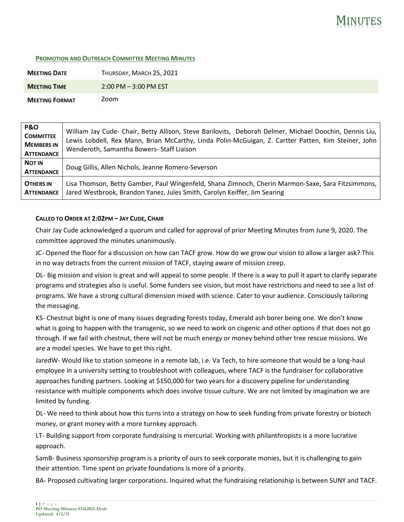## MINUTES

## **PROMOTION AND OUTREACH COMMITTEE MEETING MINUTES**

| <b>MEETING DATE</b>   | THURSDAY, MARCH 25, 2021 |
|-----------------------|--------------------------|
| <b>MEETING TIME</b>   | $2:00$ PM $-3:00$ PM EST |
| <b>MEETING FORMAT</b> | Zoom                     |

| <b>P&amp;O</b><br><b>COMMITTEE</b><br><b>MEMBERS IN</b><br><b>ATTENDANCE</b> | William Jay Cude- Chair, Betty Allison, Steve Barilovits, Deborah Delmer, Michael Doochin, Dennis Liu,<br>Lewis Lobdell, Rex Mann, Brian McCarthy, Linda Polin-McGuigan, Z. Cartter Patten, Kim Steiner, John<br>Wenderoth, Samantha Bowers- Staff Liaison |
|------------------------------------------------------------------------------|------------------------------------------------------------------------------------------------------------------------------------------------------------------------------------------------------------------------------------------------------------|
| <b>NOT IN</b><br><b>ATTENDANCE</b>                                           | Doug Gillis, Allen Nichols, Jeanne Romero-Severson                                                                                                                                                                                                         |
| <b>OTHERS IN</b><br><b>ATTENDANCE</b>                                        | Lisa Thomson, Betty Gamber, Paul Wingenfeld, Shana Zimnoch, Cherin Marmon-Saxe, Sara Fitzsimmons,  <br>Jared Westbrook, Brandon Yanez, Jules Smith, Carolyn Keiffer, Jim Searing                                                                           |

## **CALLED TO ORDER AT 2:02PM – JAY CUDE, CHAIR**

Chair Jay Cude acknowledged a quorum and called for approval of prior Meeting Minutes from June 9, 2020. The committee approved the minutes unanimously.

JC- Opened the floor for a discussion on how can TACF grow. How do we grow our vision to allow a larger ask? This in no way detracts from the current mission of TACF, staying aware of mission creep.

DL- Big mission and vision is great and will appeal to some people. If there is a way to pull it apart to clarify separate programs and strategies also is useful. Some funders see vision, but most have restrictions and need to see a list of programs. We have a strong cultural dimension mixed with science. Cater to your audience. Consciously tailoring the messaging.

KS- Chestnut bight is one of many issues degrading forests today, Emerald ash borer being one. We don't know what is going to happen with the transgenic, so we need to work on cisgenic and other options if that does not go through. If we fail with chestnut, there will not be much energy or money behind other tree rescue missions. We are a model species. We have to get this right.

JaredW- Would like to station someone in a remote lab, i.e. Va Tech, to hire someone that would be a long-haul employee in a university setting to troubleshoot with colleagues, where TACF is the fundraiser for collaborative approaches funding partners. Looking at \$150,000 for two years for a discovery pipeline for understanding resistance with multiple components which does involve tissue culture. We are not limited by imagination we are limited by funding.

DL- We need to think about how this turns into a strategy on how to seek funding from private forestry or biotech money, or grant money with a more turnkey approach.

LT- Building support from corporate fundraising is mercurial. Working with philanthropists is a more lucrative approach.

SamB- Business sponsorship program is a priority of ours to seek corporate monies, but it is challenging to gain their attention. Time spent on private foundations is more of a priority.

BA- Proposed cultivating larger corporations. Inquired what the fundraising relationship is between SUNY and TACF.